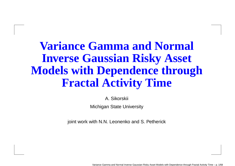# **Variance Gamma and NormalInverse Gaussian Risky Asset Models with Dependence throughFractal Activity Time**

A. Sikorskii

Michigan State University

joint work with N.N. Leonenko and S. Petherick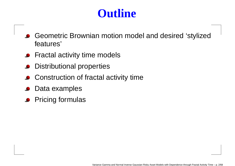# **Outline**

- Geometric Brownian motion model and desired 'stylizedfeatures'
- Fractal activity time models
- Distributional properties
- **Construction of fractal activity time**
- Data examples
- Pricing formulas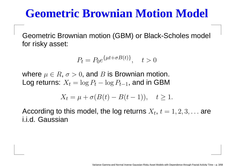# **Geometric Brownian Motion Model**

Geometric Brownian motion (GBM) or Black-Scholes model for risky asset:

$$
P_t = P_0 e^{\{\mu t + \sigma B(t)\}}, \quad t > 0
$$

where  $\mu\in R,$   $\sigma>0,$  and  $B$  is Brownian motion.<br>Les returnes  $X$  and  $B$  and  $B$  and in CDM Log returns:  $X_t = \log P_t$  $-\log P_{t-1}$ , and in GBM

$$
X_t = \mu + \sigma(B(t) - B(t-1)), \quad t \ge 1.
$$

According to this model, the log returns  $X_t, \, t=1,2,3,\dots$  are i.i.d. Gaussian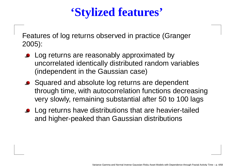# **'Stylized features'**

Features of log returns observed in practice (Granger2005):

- Log returns are reasonably approximated by uncorrelated identically distributed random variables(independent in the Gaussian case)
- Squared and absolute log returns are dependent through time, with autocorrelation functions decreasingvery slowly, remaining substantial after 50 to 100 lags
- **Log returns have distributions that are heavier-tailed** and higher-peaked than Gaussian distributions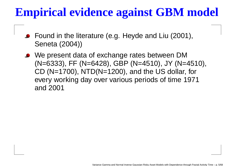# **Empirical evidence against GBM model**

- Found in the literature (e.g. Heyde and Liu (2001), Seneta (2004))
- We present data of exchange rates between DM(N=6333), FF (N=6428), GBP (N=4510), JY (N=4510), CD (N=1700), NTD(N=1200), and the US dollar, for every working day over various periods of time 1971and 2001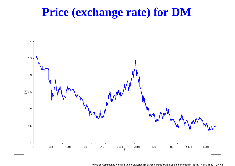## **Price (exchange rate) for DM**

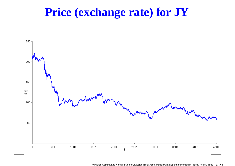## **Price (exchange rate) for JY**



Variance Gamma and Normal Inverse Gaussian Risky Asset Models with Dependence through Fractal Activity Time – p. 7/68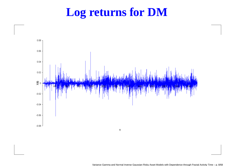## **Log returns for DM**

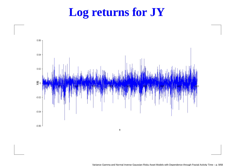# **Log returns for JY**

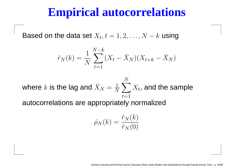#### **Empirical autocorrelations**

Based on the data set  $X_t, t=1,2,\ldots,N$  $k$  using

$$
\hat{r}_N(k) = \frac{1}{N} \sum_{t=1}^{N-k} (X_t - \bar{X}_N)(X_{t+k} - \bar{X}_N)
$$

where $\overline{k}$  is the lag and  $\bar{X}_N=\frac{1}{\Lambda}$  $\frac{1}{N}\sum^{N}X_{t},$  and the sample  $t{=}1$ autocorrelations are appropriately normalized

$$
\hat{\rho}_N(k) = \frac{\hat{r}_N(k)}{\hat{r}_N(0)}
$$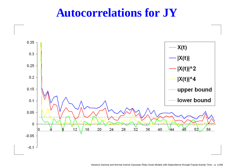#### **Autocorrelations for JY**

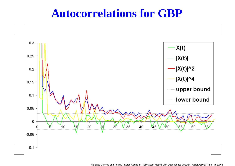#### **Autocorrelations for GBP**

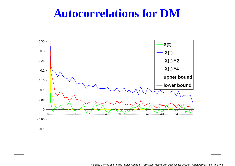#### **Autocorrelations for DM**

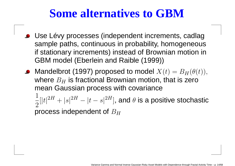# **Some alternatives to GBM**

- Use Lévy processes (independent increments, cadlag sample paths, continuous in probability, homogeneous if stationary increments) instead of Brownian motion inGBM model (Eberlein and Raible (1999))
- Mandelbrot (1997) proposed to model  $X(t) = B_H(\theta(t)),$ 1 T I I I I I where  $B_H$  is fractional Brownian motion, that is zer $\epsilon$ ~ r  $H$  is fractional Brownian motion, that is zero<br>aussian process with equationae mean Gaussian process with covariance $1 \dots 2^{H} \dots 2^{H} \dots 2^{H} \dots$  2 $[|t|$ 2H $H + |s|^2$  $H = |t|$ − $\left|S\right|$ 2 $^{2H}]$ , and  $\theta$  is a positive stochastic

process independent of  $B_H\;$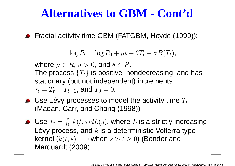# **Alternatives to GBM - Cont'd**

Fractal activity time GBM (FATGBM, Heyde (1999)):

$$
\log P_t = \log P_0 + \mu t + \theta T_t + \sigma B(T_t),
$$

where  $\mu\in R,$   $\sigma>0,$  and  $\theta\in R.$  $\alpha$  and  $\alpha$  or  $\alpha$  is not the  $\alpha$ The process  $\{T_t\}$  is positive, nondecreasing, and has stationary (but not independent) increments $\tau_t=T_t$ − $T_{t-1}$ , and  $T_0 = 0$ .

Use Lévy processes to model the activity time  $T_t$ (Madan, Carr, and Chang (1998))

Use  $T_{t}=\,$ Lévy process, and  $k$  is a deterministic Volterra type  $\int_0^t$  $k(t,s)dL(s)$ , where  $L$  is a strictly increasing kernel ( $k(t,s)=0$  when  $s>t\geq0)$  (Bender and Marquardt (2009)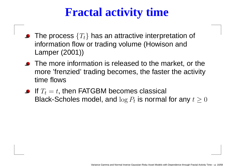# **Fractal activity time**

- The process  $\{T_t\}$  has an attractive interpretation of information flow or trading volume (Howison andLamper (2001))
- The more information is released to the market, or the more 'frenzied' trading becomes, the faster the activitytime flows
- If  $T_{t}=\,$  $t,$  then FATGBM becomes classical Black-Scholes model, and  $\log P_t$  is normal for any  $t\geq0$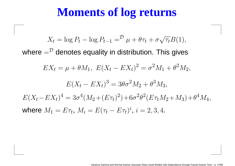# **Moments of log returns**

$$
X_t = \log P_t - \log P_{t-1} = \frac{\partial \mu + \theta \tau_t + \sigma \sqrt{\tau_t} B(1)}{\partial \tau_t}
$$
  
\nwhere  $= \frac{\partial \theta}{\partial t}$  denotes equality in distribution. This gives  
\n
$$
EX_t = \mu + \theta M_1, \ E(X_t - EX_t)^2 = \sigma^2 M_1 + \theta^2 M_2,
$$
\n
$$
E(X_t - EX_t)^3 = 3\theta \sigma^2 M_2 + \theta^3 M_3,
$$
\n
$$
E(X_t - EX_t)^4 = 3\sigma^4 (M_2 + (E\tau_t)^2) + 6\sigma^2 \theta^2 (E\tau_t M_2 + M_3) + \theta^4 M_4,
$$
\nwhere  $M_1 = E\tau_t, M_i = E(\tau_t - E\tau_t)^i, i = 2, 3, 4.$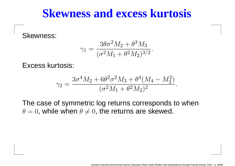#### **Skewness and excess kurtosis**

Skewness:

$$
\gamma_1 = \frac{3\theta\sigma^2 M_2 + \theta^3 M_3}{(\sigma^2 M_1 + \theta^2 M_2)^{3/2}}
$$

Excess kurtosis:

$$
\gamma_2 = \frac{3\sigma^4 M_2 + 6\theta^2 \sigma^2 M_3 + \theta^4 (M_4 - M_2^2)}{(\sigma^2 M_1 + \theta^2 M_2)^2}
$$

The case of symmetric log returns corresponds to when $\theta=0$ , while when  $\theta\neq0$ , the returns are skewed.

.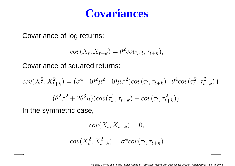## **Covariances**

Covariance of log returns:

$$
cov(X_t, X_{t+k}) = \theta^2 cov(\tau_t, \tau_{t+k}),
$$

Covariance of squared returns:

$$
cov(X_t^2, X_{t+k}^2) = (\sigma^4 + 4\theta^2 \mu^2 + 4\theta \mu \sigma^2) cov(\tau_t, \tau_{t+k}) + \theta^4 cov(\tau_t^2, \tau_{t+k}^2) +
$$
  

$$
(\theta^2 \sigma^2 + 2\theta^3 \mu) (cov(\tau_t^2, \tau_{t+k}) + cov(\tau_t, \tau_{t+k}^2)).
$$

In the symmetric case,

.

$$
cov(X_t, X_{t+k}) = 0,
$$

$$
cov(X_t^2, X_{t+k}^2) = \sigma^4 cov(\tau_t, \tau_{t+k})
$$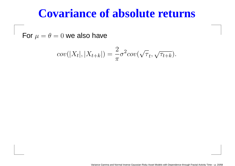## **Covariance of absolute returns**

For  $\mu=\theta=0$  we also have

$$
cov(|X_t|, |X_{t+k}|) = \frac{2}{\pi} \sigma^2 cov(\sqrt{\tau}_t, \sqrt{\tau_{t+k}}).
$$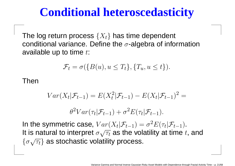# **Conditional heteroscedasticity**

The log return process  $\{X_t\}$  has time dependent conditional variance. Define the  $\sigma$ -algebra of information available up to time  $t\mathrm{:}$ 

$$
\mathcal{F}_t = \sigma(\{B(u), u \le T_t\}, \{T_u, u \le t\}).
$$

Then

$$
Var(X_t|\mathcal{F}_{t-1}) = E(X_t^2|\mathcal{F}_{t-1}) - E(X_t|\mathcal{F}_{t-1})^2 =
$$
  

$$
\theta^2 Var(\tau_t|\mathcal{F}_{t-1}) + \sigma^2 E(\tau_t|\mathcal{F}_{t-1}).
$$

In the symmetric case,  $Var(X_t|\mathcal{F}_{t-})$  $\sqrt{2}$  po the velotili  $\sigma_{1}) = \sigma$ 2 ${}^2E(\tau_t|\mathcal{F}_{t-1}).$ It is natural to interpret  $\sigma \sqrt{\tau_t}$  as the volatility at time  $t,$  and  $\{\sigma \sqrt{\tau_t}\}$  as stochastic volatility process.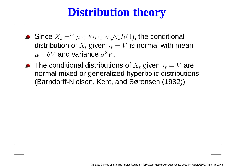# **Distribution theory**

- Since  $X_t=^{\mathcal{D}}$  distribution of  $X_t$  given  $\tau_t=V$  is normal with mean  $\mu + \theta \tau_t + \sigma \sqrt{\tau_t} B(1),$  the conditional  $\Omega$  $\mu+\theta V$  and variance  $\sigma^2 V$ . 2 ${}^2V$ .
- The conditional distributions of  $X_t$  given  $\tau_t=V$  are and the contract of the normal mixed or generalized hyperbolic distributions(Barndorff-Nielsen, Kent, and Sørensen (1982))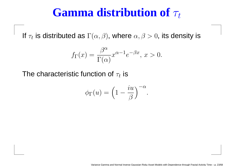# **Gamma** distribution of  $\tau_t$

If  $\tau_t$  is distributed as  $\Gamma(\alpha,\beta)$ , where  $\alpha,\beta>0,$  its density is

$$
f_{\Gamma}(x) = \frac{\beta^{\alpha}}{\Gamma(\alpha)} x^{\alpha - 1} e^{-\beta x}, \ x > 0.
$$

The characteristic function of  $\tau_t$  is

$$
\phi_{\Gamma}(u) = \left(1 - \frac{iu}{\beta}\right)^{-\alpha}
$$

.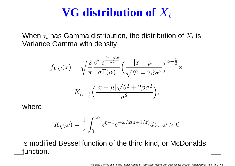# $\mathbf{VG}$  **distribution of**  $X_t$

When  $\tau_t$  has Gamma distribution, the distribution of  $X_t$  is Variance Gamma with density

$$
f_{VG}(x) = \sqrt{\frac{2}{\pi}} \frac{\beta^{\alpha} e^{\frac{(x-\mu)\theta}{\sigma^2}}}{\sigma \Gamma(\alpha)} \left(\frac{|x-\mu|}{\sqrt{\theta^2 + 2\beta\sigma^2}}\right)^{\alpha - \frac{1}{2}} \times
$$

$$
K_{\alpha - \frac{1}{2}}\left(\frac{|x-\mu|\sqrt{\theta^2 + 2\beta\sigma^2}}{\sigma^2}\right),
$$

where

$$
K_{\eta}(\omega) = \frac{1}{2} \int_0^{\infty} z^{\eta - 1} e^{-\omega/2(z + 1/z)} dz, \ \omega > 0
$$

is modified Bessel function of the third kind, or McDonaldsfunction.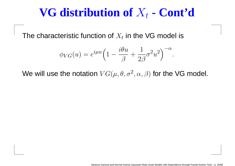# $\mathbf{VG}$  **distribution** of  $X_t$  -  $\mathbf{Cont}^{\prime}$ **d**

The characteristic function of  $X_t$  in the VG model is

$$
\phi_{VG}(u) = e^{i\mu u} \left( 1 - \frac{i\theta u}{\beta} + \frac{1}{2\beta} \sigma^2 u^2 \right)^{-\alpha}.
$$

We will use the notation  $VG(\mu,\theta,\sigma^2,\alpha,\beta)$  for the VG model.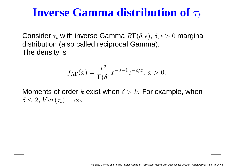# **Inverse Gamma distribution of**  $\tau_t$

Consider  $\tau_t$  with inverse Gamma  $R\Gamma(\delta,\epsilon),\,\delta,\epsilon>0$  marginal distribution (also called reciprocal Gamma). The density is

$$
f_{R\Gamma}(x) = \frac{\epsilon^{\delta}}{\Gamma(\delta)} x^{-\delta - 1} e^{-\epsilon/x}, \ x > 0.
$$

Moments of order  $k$  exist when  $\delta > k$ . For example, when  $\delta \leq 2$ ,  $Var(\tau_t) = \infty$ .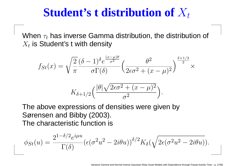# Student's **t** distribution of  $X_t$

When  $\tau_t$  has inverse Gamma distribution, the distribution of  $X_t$  is Student's t with density

$$
f_{St}(x) = \sqrt{\frac{2}{\pi}} \frac{(\delta - 1)^{\delta} e^{\frac{(x - \mu)\theta}{\sigma^2}}}{\sigma \Gamma(\delta)} \left(\frac{\theta^2}{2\epsilon \sigma^2 + (x - \mu)^2}\right)^{\frac{\delta + 1/2}{2}} \times
$$

$$
K_{\delta + 1/2} \left(\frac{|\theta|\sqrt{2\epsilon \sigma^2 + (x - \mu)^2}}{\sigma^2}\right).
$$

The above expressions of densities were given bySørensen and Bibby (2003). The characteristic function is

$$
\phi_{St}(u) = \frac{2^{1-\delta/2}e^{i\mu u}}{\Gamma(\delta)} \left(\epsilon(\sigma^2 u^2 - 2i\theta u)\right)^{\delta/2} K_{\delta}(\sqrt{2\epsilon(\sigma^2 u^2 - 2i\theta u)}).
$$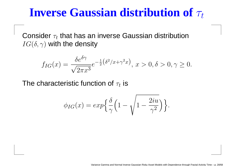# **Inverse Gaussian distribution of**  $\tau_t$

Consider  $\tau_t$  that has an inverse Gaussian distribution  $IG(\delta,\gamma)$  with the density

$$
f_{IG}(x) = \frac{\delta e^{\delta \gamma}}{\sqrt{2\pi x^3}} e^{-\frac{1}{2}(\delta^2/x + \gamma^2 x)}, \ x > 0, \delta > 0, \gamma \ge 0.
$$

The characteristic function of  $\tau_t$  is

$$
\phi_{IG}(x) = exp\Big\{\frac{\delta}{\gamma} \Big(1 - \sqrt{1 - \frac{2iu}{\gamma^2}}\Big)\Big\}.
$$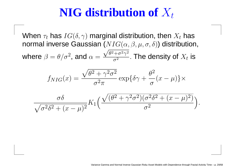# $\mathbf{NIG}$  distribution of  $X_t$

When  $\tau_t$  has  $IG(\delta, \gamma)$  marginal distribution, then  $X_t$  has normal inverse Gaussian  $(NIG(\alpha,\beta,\mu,\sigma,\delta))$  distribution, where  $\beta=\theta/\sigma^2$ , and  $\alpha=\frac{\sqrt{\theta^2-\sigma^2}}{2\sigma^2}$ = $=\theta/\sigma^2$ , and  $\alpha=\frac{\sqrt{\theta}}{2}$ 2 $^{2}+$ σ2 $\frac{2\gamma}{\gamma}$ 2 $\frac{\tau\sigma}{\sigma^2}$  . The density of  $X_t$  is

$$
f_{NIG}(x) = \frac{\sqrt{\theta^2 + \gamma^2 \sigma^2}}{\sigma^2 \pi} \exp{\{\delta \gamma + \frac{\theta^2}{\sigma} (x - \mu)\} \times}
$$

$$
\frac{\sigma\delta}{\sqrt{\sigma^2\delta^2 + (x-\mu)^2}} K_1 \left( \frac{\sqrt{(\theta^2 + \gamma^2\sigma^2)(\sigma^2\delta^2 + (x-\mu)^2)}}{\sigma^2} \right).
$$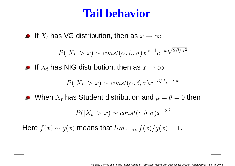## **Tail behavior**

If  $X_t$  has VG distribution, then as  $x \to \infty$ 

$$
P(|X_t| > x) \sim const(\alpha, \beta, \sigma) x^{\alpha - 1} e^{-x \sqrt{2\beta/\sigma^2}}
$$

If  $X_t$  has NIG distribution, then as  $x \to \infty$ 

$$
P(|X_t| > x) \sim const(\alpha, \delta, \sigma) x^{-3/2} e^{-\alpha x}
$$

When  $X_t$  has Student distribution and  $\mu=\theta=0$  then  $\bullet$ 

$$
P(|X_t| > x) \sim const(\epsilon, \delta, \sigma) x^{-2\delta}
$$

Here  $f(x) \sim g(x)$  means that  $lim_{x\to\infty} f(x)/g(x) = 1$ .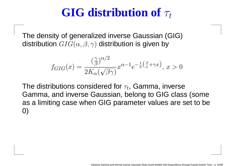# **GIG** distribution of  $\tau_t$

The density of generalized inverse Gaussian (GIG)distribution  $GIG(\alpha,\beta,\gamma)$  distribution is given by

$$
f_{GIG}(x) = \frac{\left(\frac{\gamma}{\beta}\right)^{\alpha/2}}{2K_{\alpha}(\sqrt{\beta\gamma})} x^{\alpha - 1} e^{-\frac{1}{2}\left(\frac{\beta}{x} + \gamma x\right)}, \ x > 0
$$

The distributions considered for  $\tau_t$ , Gamma, inverse Gamma, and inverse Gaussian, belong to GIG class (some as <sup>a</sup> limiting case when GIG parameter values are set to be0)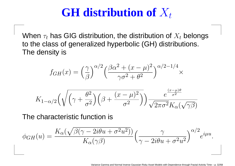# **GH** distribution of  $X_t$

When  $\tau_t$  has GIG distribution, the distribution of  $X_t$  belongs to the class of generalized hyperbolic (GH) distributions. The density is

$$
f_{GH}(x) = \left(\frac{\gamma}{\beta}\right)^{\alpha/2} \left(\frac{\beta\alpha^2 + (x - \mu)^2}{\gamma\sigma^2 + \theta^2}\right)^{\alpha/2 - 1/4} \times
$$

$$
K_{1-\alpha/2}\left(\sqrt{\left(\gamma+\frac{\theta^2}{\sigma^2}\right)\left(\beta+\frac{(x-\mu)^2}{\sigma^2}\right)}\right)\frac{e^{\frac{(x-\mu)\theta}{\sigma^2}}}{\sqrt{2\pi\sigma^2}K_{\alpha}(\sqrt{\gamma\beta})}
$$

The characteristic function is

$$
\phi_{GH}(u) = \frac{K_{\alpha}(\sqrt{\beta(\gamma - 2i\theta u + \sigma^2 u^2)})}{K_{\alpha}(\gamma \beta)} \left(\frac{\gamma}{\gamma - 2i\theta u + \sigma^2 u^2}\right)^{\alpha/2} e^{i\mu u}.
$$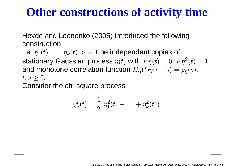# **Other constructions of activity time**

Heyde and Leonenko (2005) introduced the followingconstruction:

Let  $\eta_1(t), \ldots, \eta_{\nu}(t),\, \nu\geq 1$  be independent copies of stationary Gaussian process  $\eta(t)$  with  $E\eta(t)=0$ ,  $E\eta^2$ and monotone correlation function  $E\eta(t)\eta(t+s)=\rho_{\eta}(s),$  $^{2}(t)=1$  $t,s\geq0.$ 

 $\overline{\mathbf{r}}$ Consider the chi-square process

$$
\chi_{\nu}^{2}(t) = \frac{1}{2}(\eta_{1}^{2}(t) + \ldots + \eta_{\nu}^{2}(t)).
$$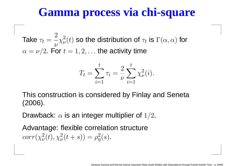## **Gamma process via chi-square**

Take  $\tau_t$ =2 $\nu$  $\alpha=\nu$  / 2. F  $\chi$ 2 $\frac{2}{\nu}$ ( t $t)$  so the distribution of  $\tau_t$  is  $\Gamma(\alpha,\alpha)$  for  $\epsilon = \nu/2$ . For  $t=1,2,\ldots$  the activity time

$$
T_t = \sum_{i=1}^t \tau_i = \frac{2}{\nu} \sum_{i=1}^t \chi_{\nu}^2(i).
$$

This construction is considered by Finlay and Seneta(2006).

Drawback:  $\alpha$  is an integer multiplier of  $1/2.$ 

Advantage: flexible correlation structure $corr(\chi$ 2 $_{\nu}^2(t), \chi_{\nu}^2$  $u^2(\tau+s)) = \rho$ 2 $\frac{2}{\eta}(s)$  .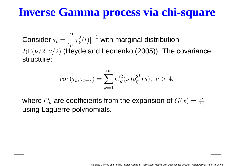# **Inverse Gamma process via chi-square**

Considerr  $\tau_t = [\frac{\tau}{\nu}]$ 2 $\nu$  $R\Gamma(\nu/2,\nu/2)$  (Heyde and Leonenko (2005)). The covariance  $\chi$ 2 $_{\nu}^{2}(t)]$  $^{\rm 1}$  with marginal distribution structure:

$$
cov(\tau_t, \tau_{t+s}) = \sum_{k=1}^{\infty} C_k^2(\nu) \rho_{\eta}^{2k}(s), \ \nu > 4,
$$

where  $C_k$  are coefficients from the expansion of  $G(x) = \frac{\nu}{2x}$  using Laguerre polynomials.  $2x$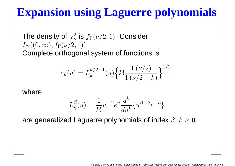# **Expansion using Laguerre polynomials**

The density of  $\chi$  $L_2((0,\infty),f_\Gamma(\nu/2,1)).$ 2 ν $\frac{2}{\nu}$  is  $f_\Gamma(\nu/2,1)$ . Consider Complete orthogonal system of functions is

$$
e_k(u) = L_k^{\nu/2 - 1}(u) \left\{ k! \frac{\Gamma(\nu/2)}{\Gamma(\nu/2 + k)} \right\}^{1/2},
$$

where

$$
L_k^{\beta}(u) = \frac{1}{k!} u^{-\beta} e^u \frac{d^k}{du^k} \{ u^{\beta + k} e^{-u} \}
$$

are generalized Laguerre polynomials of index  $\beta, \, k\geq 0.$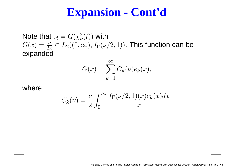## **Expansion - Cont'd**

Note that  $\tau_t=G(\chi)$   $G(x) = \frac{\nu}{2x} \in L_2((0, \infty), f_{\Gamma}(u))$ 2 $_{\nu }^{2}(t))$  with expanded $\frac{\nu}{2x}\in L_2((0,\infty),f_\Gamma(\nu/2,1))$ . This function can be

$$
G(x) = \sum_{k=1}^{\infty} C_k(\nu) e_k(x),
$$

#### where

$$
C_k(\nu) = \frac{\nu}{2} \int_0^\infty \frac{f_\Gamma(\nu/2, 1)(x)e_k(x)dx}{x}.
$$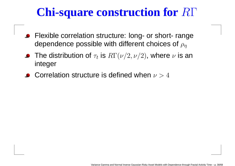# **Chi-square construction for**RΓ

- **•** Flexible correlation structure: long- or short- range dependence possible with different choices of  $\rho_\eta$
- The distribution of  $\tau_t$  is  $R\Gamma(\nu/2,\nu/2)$ , where  $\nu$  is an integer
- Correlation structure is defined when  $\nu>4$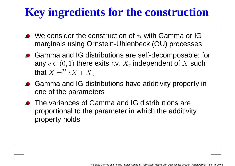# **Key ingredients for the construction**

- We consider the construction of  $\tau_t$  with Gamma or IG marginals using Ornstein-Uhlenbeck (OU) processes
- Gamma and IG distributions are self-decomposable: forany  $c\in(0,1)$  there exits r.v.  $X_c$ that  $X=^{\mathcal{D}} cX+X_c$  $\overline{c}$  independent of  $X$  such
- Gamma and IG distributions have additivity property inone of the parameters
- **•** The variances of Gamma and IG distributions are proportional to the parameter in which the additivityproperty holds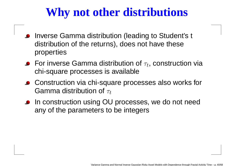# **Why not other distributions**

- Inverse Gamma distribution (leading to Student's <sup>t</sup> distribution of the returns), does not have theseproperties
- For inverse Gamma distribution of  $\tau_t$ , construction via chi-square processes is available
- Construction via chi-square processes also works for Gamma distribution of  $\tau_t$
- **In construction using OU processes, we do not need** any of the parameters to be integers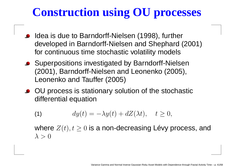# **Construction using OU processes**

- Idea is due to Barndorff-Nielsen (1998), further developed in Barndorff-Nielsen and Shephard (2001)for continuous time stochastic volatility models
- Superpositions investigated by Barndorff-Nielsen (2001), Barndorff-Nielsen and Leonenko (2005), Leonenko and Tauffer (2005)
- OU process is stationary solution of the stochasticdifferential equation

(1) 
$$
dy(t) = -\lambda y(t) + dZ(\lambda t), \quad t \ge 0,
$$

where  $Z(t), t\geq0$  is a non-decreasing Lévy process, and  $\lambda > 0$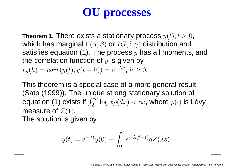# **OU processes**

**Theorem 1.** There exists a stationary process  $y(t), t \geq 0$ , which has marginal  $\Gamma(t, \mathscr{D})$  or  $I G(S, \mathscr{D})$  distribution and which has marginal  $\Gamma(\alpha,\beta)$  or  $IG(\delta,\gamma)$  distribution and satisfies equation (1). The process  $y$  has all moments, and the correlation function of  $y$  is given by  $r_y(h) = corr(y(t), y(t+h)) = e^{-\lambda h}, h \ge 0.$ 

This theorem is <sup>a</sup> special case of <sup>a</sup> more general result (Sato (1999)). The unique strong stationary solution of equation (1) exists if  $\int_2^\infty \log x \rho(dx) < \infty$ , where  $\rho(\cdot)$  is Lévy measure of  $Z(1)$ . The solution is given by

$$
y(t) = e^{-\lambda t}y(0) + \int_0^t e^{-\lambda(t-s)}dZ(\lambda s).
$$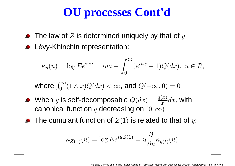# **OU processes Cont'd**

- The law of  $Z$  is determined uniquely by that of  $y$
- Lévy-Khinchin representation:

$$
\kappa_y(u) = \log E e^{iuy} = iua - \int_0^\infty (e^{iux} - 1)Q(dx), \ u \in R,
$$

where  $\int_0^\infty$ 0 $\int_0^\infty (1 \wedge x) Q(dx) < \infty$ , and  $Q(-\infty, 0) = 0$ 

- When  $y$  is self-decomposable  $Q(dx) = \frac{q(x)}{x}$ canonical function  $q$  decreasing on  $(0,\infty)$  $\frac{d}{dx} \frac{d}{dx}$ , with
- The cumulant function of  $Z(1)$  is related to that of  $y\mathrm{:}% \left( \mathcal{A}\right)$

$$
\kappa_{Z(1)}(u) = \log E e^{iuZ(1)} = u \frac{\partial}{\partial u} \kappa_{y(t)}(u).
$$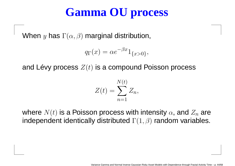# **Gamma OU process**

When  $y$  has  $\Gamma(\alpha,\beta)$  marginal distribution,

$$
q_{\Gamma}(x) = \alpha e^{-\beta x} 1_{\{x>0\}},
$$

and Lévy process  $Z(t)$  is a compound Poisson process

$$
Z(t) = \sum_{n=1}^{N(t)} Z_n,
$$

where  $N(t)$  is a Poisson process with intensity  $\alpha$ , and  $Z_n$  are  $\sim$   $\sim$ independent identically distributed  $\Gamma(1,\beta)$  random variables.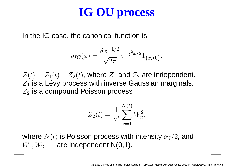# **IG OU process**

In the IG case, the canonical function is

$$
q_{IG}(x) = \frac{\delta x^{-1/2}}{\sqrt{2\pi}} e^{-\gamma^2 x/2} 1_{\{x > 0\}}.
$$

 $Z(t) = Z_1(t) + Z_2(t)$ , where  $Z_1$  $\overline{z}$  $\sim 1.4$  $Z_1$  is a Lévy process with inverse  $Z_1$  and  $Z_2$  are independent.  $\mathbb{Z}_2$  is a compound Poisson process  $\epsilon_1$  is a Lévy process with inverse Gaussian marginals,

$$
Z_2(t) = \frac{1}{\gamma^2} \sum_{k=1}^{N(t)} W_n^2,
$$

where  $N(t)$  is Poisson process with intensity  $\delta\gamma/2$ , and  $\blacksquare$  $W_1, W_2, \ldots$  are independent N(0,1).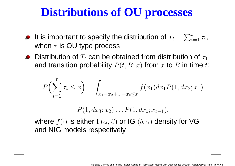# **Distributions of OU processes**

- It is important to specify the distribution of  $T_{t}=% \sqrt{\frac{\tau_{\mathrm{t}}}{n}}$  $\sum_{i=1}^t \tau_i$  , when  $\tau$  $\tau$  is OU type process
- Distribution of  $T_t$  can be obtained from distribution of  $\tau_1$ and transition probability  $P(t, B; x)$  from  $x$  to  $B$  in time  $t$ :

$$
P\left(\sum_{i=1}^{t} \tau_i \le x\right) = \int_{x_1 + x_2 + \ldots + x_t \le x} f(x_1) dx_1 P(1, dx_2; x_1)
$$

 $P(1, dx_3; x_2) \ldots P(1, dx_t; x_{t-1}),$ ;

where  $f(\cdot)$  is either  $\Gamma(\alpha, \beta)$  or IG  $(\delta, \gamma)$  density for VG and NIG models respectively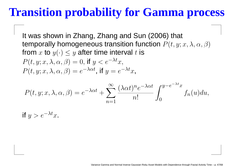## **Transition probability for Gamma process**

It was shown in Zhang, Zhang and Sun (2006) that temporally homogeneous transition function  $P(t, y; x, \lambda, \alpha, \beta)$ from  $x$  to  $y(\cdot)\leq y$  after time interval  $t$  is  $P(t, y; x, \lambda, \alpha, \beta) = 0$ , if  $y < e^{-\lambda t}x$ ,  $P(t, y; x, \lambda, \alpha, \beta) = e$  $^{-\lambda\alpha t}$ , if  $y=e$  $-\lambda t_{\mathcal{X}, \mathcal{X}}$ 

$$
P(t, y; x, \lambda, \alpha, \beta) = e^{-\lambda \alpha t} + \sum_{n=1}^{\infty} \frac{(\lambda \alpha t)^n e^{-\lambda \alpha t}}{n!} \int_0^{y-e^{-\lambda t}x} f_n(u) du,
$$

if  $y>e^ -\lambda t$ <sub>x</sub>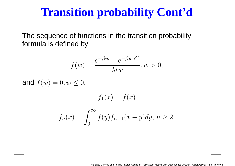## **Transition probability Cont'd**

The sequence of functions in the transition probabilityformula is defined by

$$
f(w) = \frac{e^{-\beta w} - e^{-\beta we^{\lambda t}}}{\lambda tw}, w > 0,
$$

and  $f(w) = 0, w \leq 0$ .

$$
f_1(x) = f(x)
$$
  

$$
f_n(x) = \int_0^\infty f(y)f_{n-1}(x-y)dy, \ n \ge 2.
$$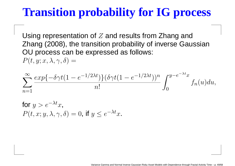## **Transition probability for IG process**

Using representation of Z and results from Zhang and Zhang (2008), the transition probability of inverse GaussianOU process can be expressed as follows:  $P(t, y; x, \lambda, \gamma, \delta) =$ 

$$
\sum_{n=1}^{\infty} \frac{\exp\{-\delta \gamma t (1 - e^{-1/2\lambda t})\} (\delta \gamma t (1 - e^{-1/2\lambda t}))^n}{n!} \int_0^{y - e^{-\lambda t} x} f_n(u) du,
$$

for 
$$
y > e^{-\lambda t}x
$$
,  
\n $P(t, x; y, \lambda, \gamma, \delta) = 0$ , if  $y \le e^{-\lambda t}x$ .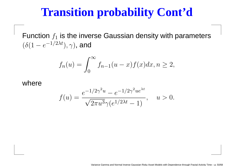## **Transition probability Cont'd**

Function  $f_\mathrm{1}$  $(\delta(1-e^{-1}$  $\zeta_1$  is the inverse Gaussian density with parameters  $-e^{-1}$  $1/$  $2\lambda t$  $), \gamma),$  and

$$
f_n(u) = \int_0^\infty f_{n-1}(u-x)f(x)dx, n \ge 2,
$$

#### where

$$
f(u) = \frac{e^{-1/2\gamma^2 u} - e^{-1/2\gamma^2 u e^{\lambda t}}}{\sqrt{2\pi u^3 \gamma (e^{1/2\lambda t} - 1)}}, \quad u > 0.
$$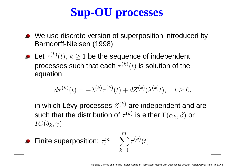# **Sup-OU processes**

- We use discrete version of superposition introduced byBarndorff-Nielsen (1998)
- Let  $\tau^{(k)}(t),\,k\geq1$  be the sequence of independent processes such that each  $\tau^{(k)}(t)$  is solution of the equation

$$
d\tau^{(k)}(t) = -\lambda^{(k)}\tau^{(k)}(t) + dZ^{(k)}(\lambda^{(k)}t), \quad t \ge 0,
$$

in which Lévy processes  $Z^{(k)}$  are independent and are such that the distribution of  $\tau^{(k)}$  is either  $\Gamma(\alpha_k,\beta)$  or  $IG(\delta_k, \gamma)$ 

• Finite superposition: 
$$
\tau_t^m = \sum_{k=1}^m \tau^{(k)}(t)
$$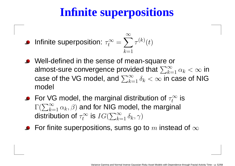# **Infinite superpositions**

• Infinite superposition: 
$$
\tau_t^{\infty} = \sum_{k=1}^{\infty} \tau^{(k)}(t)
$$

- Well-defined in the sense of mean-square or almost-sure convergence provided that  $\sum_{k=1}^\infty$  $\frac{\infty}{k=1}\,\alpha_k<\infty$  in<br>a case of NIC case of the VG model, and  $\sum_{k=1}^\infty\delta_k<\infty$  in case  $\sum\limits_{k=1}^{\infty}\delta_k<\infty$  in case of NIG model
- For VG model, the marginal distribution of  $\tau_t^\infty$  $\Gamma(\sum_{k=1}^\infty \alpha_k,\beta)$  and for NIG model, the margin  $\frac{1}{t}^{\infty}$  is distribution of  $\tau_t^\infty$  $\sum\limits_{k=1}^{\infty}\alpha_{k},\beta)$  and for NIG model, the marginal  $t_c^\infty$  is  $IG(\sum_{k=1}^\infty$  $\overset{\infty}{k=1}\delta_{k},\gamma)$
- For finite superpositions, sums go to  $m$  instead of  $\infty$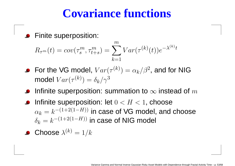## **Covariance functions**

Finite superposition:

$$
R_{\tau^m}(t) = cov(\tau_s^m, \tau_{t+s}^m) = \sum_{k=1}^m Var(\tau^{(k)}(t))e^{-\lambda^{(k)}t}
$$

- For the VG model,  $Var(\tau$ model  $Var(\tau^{(k)})=\delta_k/\gamma^3$  $^{\left( k\right) })=% \begin{pmatrix} \omega_{0}-i\frac{\gamma_{\rm{QE}}}{2} & k\frac{\gamma_{\rm{p}}}{2} & k\frac{\gamma_{\rm{p}}}{2} & k\frac{\gamma_{\rm{p}}}{2} & k\frac{\gamma_{\rm{p}}}{2} & k\frac{\gamma_{\rm{p}}}{2} & k\frac{\gamma_{\rm{p}}}{2} & k\frac{\gamma_{\rm{p}}}{2} & k\frac{\gamma_{\rm{p}}}{2} & k\frac{\gamma_{\rm{p}}}{2} & k\frac{\gamma_{\rm{p}}}{2} & k\frac{\gamma_{\rm{p}}}{2} & k\frac{\gamma_{\rm{p}}}{2} & k\frac{\$  $\alpha_k/\beta^2$ , and for NIG  $^{(k)})=\delta_{k}/\gamma^{3}$
- Infinite superposition: summation to  $\infty$  instead of  $m$
- Infinite superposition: let  $0 < H < 1,$  choose the control of the control of the control of  $\alpha_k=k^{-(1+2(1)}$  $\delta_k=k^{-(1+2(1+\frac{1}{2})}$  $^{(H))}$  in case of VG model, and choose  $^{(H))}$  in case of NIG model

**Choose** 
$$
\lambda^{(k)} = 1/k
$$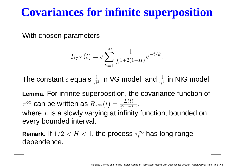# **Covariances for infinite superposition**

With chosen parameters

$$
R_{\tau^{\infty}}(t) = c \sum_{k=1}^{\infty} \frac{1}{k^{1+2(1-H)}} e^{-t/k}.
$$

The constant  $c$  equals  $\frac{1}{\beta^2}$  $\frac{1}{\beta^2}$  in VG model, and  $\frac{1}{\gamma^3}$  $\frac{1}{\gamma^3}$  in NIG model.

**Lemma.** For infinite superposition, the covariance function of  $\tau^\infty$  can be written as  $R_{\tau^\infty}(t)=\frac{L(t)}{t^{2(1-H)}},$ where  $L$  is a slowly varying at infinity function, bounded on every bounded interval.

**Remark.** If  $1/2 < H < 1,$  the process  $\tau_t^\infty$  dependence. $t^{\infty}_t$  has long range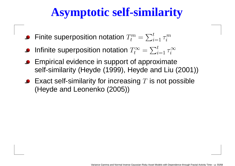# **Asymptotic self-similarity**

- Finite superposition notation  $T^m_t$  $t^{-}=$  $\sum_{i=1}^t \tau^m_i$  $\it i$
- Infinite superposition notation  $T^\infty_t$  $t^{-}=$  $\sum_{i=1}^t \tau_i^\infty$  $\it i$
- Empirical evidence in support of approximateself-similarity (Heyde (1999), Heyde and Liu (2001))
- Exact self-similarity for increasing  $T$  is not possible  $\mu$ (Heyde and Leonenko (2005))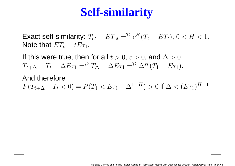# **Self-similarity**

Exact self-similarity:  $T_{ct}$  –  $-ET_{ct} = \frac{\mathcal{D}}{c^H(T_t - ET_t)}, 0 < H < 1.$ Note that  $ET_t=tE\tau_1$ .

If this were true, then for all  $t > 0, \, c > 0,$  and  $\Delta > 0$  $T_{t+\Delta}-T_t-\Delta E\tau_1=^{\mathcal{D}}T_{\Delta}-\Delta E\tau_1=^{\mathcal{D}}\Delta^H(T_1-E\tau_1).$ 

And therefore

 $P(T_{t+\Delta}-T_t < 0) = P(T_1 < E\tau_1 - \Delta^{1-H}) > 0$  if  $\Delta < (E\tau_1)^{H-1}$ .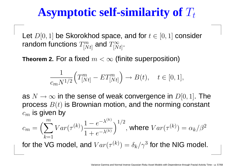# Asymptotic self-similarity of  $T_t$

Let  $D[0, 1]$  be Skorokhod space, and for  $t\in[0, 1]$  consider random functions  $T^m_{\mathsf{I} N}$  $_{[Nt]}^m$  and  $T_{[N}^\infty$  $[Nt]$  .

<code>Theorem 2.</code> For a fixed  $m<\infty$  (finite superposition)

$$
\frac{1}{c_m N^{1/2}} \Big( T_{[Nt]}^m - ET_{[Nt]}^m \Big) \to B(t), \quad t \in [0, 1],
$$

as  $N \to \infty$  in the sense of weak convergence in  $D[0,1]$ . The<br>process  $B(t)$  is Brownian motion, and the norming constant process  $B(t)$  is Brownian motion, and the norming constant .<br>il 77  $c_m\,$  $\epsilon_m$  is given by

$$
c_m = \left(\sum_{k=1}^m Var(\tau^{(k)}) \frac{1 - e^{-\lambda^{(k)}}}{1 + e^{-\lambda^{(k)}}}\right)^{1/2}, \text{ where } Var(\tau^{(k)}) = \alpha_k/\beta^2
$$

for the VG model, and  $Var(\tau)$  $^{(k)})=\delta_k/\gamma^3$  for the NIG model.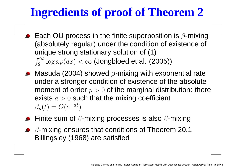# **Ingredients of proof of Theorem 2**

- Each OU process in the finite superposition is  $\beta$ -mixing (absolutely regular) under the condition of existence of unique strong stationary solution of (1) $\int_2^\infty$ 2 $\int_2^{\infty} \log x \rho(dx) < \infty$  (Jongbloed et al. (2005))
- Masuda (2004) showed  $\beta$ -mixing with exponential rate under <sup>a</sup> stronger condition of existence of the absolutemoment of order  $p>0$  of the marginal distribution: there exists  $a>0$  such that the mixing coefficient  $\beta_y(t) = O(e)$  $^{-at})$
- Finite sum of  $\beta$ -mixing processes is also  $\beta$ -mixing
- $\beta$ -mixing ensures that conditions of Theorem 20.1 Billingsley (1968) are satisfied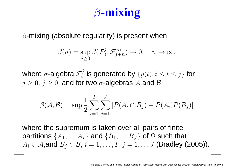# β**-mixing**

 $\beta$ -mixing (absolute regularity) is present when

$$
\beta(n) = \sup_{j \geq 0} \beta(\mathcal{F}_0^j, \mathcal{F}_{j+n}^{\infty}) \to 0, \quad n \to \infty,
$$

where  $\sigma$ -algebra  $\mathcal{F}_i^j$  is generated by  $\{y(t), i \le t \le j\}$  for  $j\geq 0, \, j\geq 0,$  and for two  $\sigma$ -algebras  ${\mathcal A}$  and  ${\mathcal B}$ 

$$
\beta(\mathcal{A}, \mathcal{B}) = \sup \frac{1}{2} \sum_{i=1}^{I} \sum_{j=1}^{J} |P(A_i \cap B_j) - P(A_i)P(B_j)|
$$

where the supremum is taken over all pairs of finitepartitions  $\{A_1, \ldots A_I\}$  and  $\{B_1, \ldots B_J\}$  of  $\Omega$  such that  $A_i \in \mathcal{A},$ and  $B_j \in \mathcal{B}, i = 1, \ldots, I, j = 1, \ldots J$  (Bradley (2005)).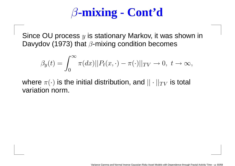# β**-mixing - Cont'd**

Since OU process  $y$  is stationary Markov, it was shown in Davydov (1973) that  $\beta$ -mixing condition becomes

$$
\beta_y(t) = \int_0^\infty \pi(dx) ||P_t(x, \cdot) - \pi(\cdot)||_{TV} \to 0, \ t \to \infty,
$$

where  $\pi(\cdot)$  is the initial distribution, and  $||\cdot||_{TV}$  is total<br>verietien nerm variation norm.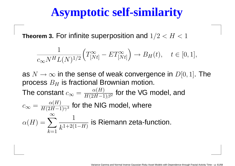## **Asymptotic self-similarity**

**Theorem 3.** For infinite superposition and  $1/2 < H < 1$ 

$$
\frac{1}{c_{\infty} N^H L(N)^{1/2}} \Big( T_{[Nt]}^{\infty} - ET_{[Nt]}^{\infty} \Big) \to B_H(t), \quad t \in [0, 1],
$$

as  $N \to \infty$  in the sense of weak convergence in  $D[0,1]$ . The<br>process  $B_{11}$  is fractional Brownian motion process  $B_H$  $\overline{H}$  is fractional Brownian motion.

The constant  $\overline{c}$  $c_\infty = \frac{\alpha(H)}{H(2H-1)\beta^2}$  for the VG model, and  $c_\infty=\frac{\alpha(H)}{H(2H-1)\gamma^3}$  for the NIG model, where  $\alpha$  $(H) = \sum_{k=1}^{\infty} \frac{1}{k^{1+2(k)}}$  $k{=}1$  $k^{1+2(1)}$  $_{\overline{H \rangle}}$  is Riemann zeta-function.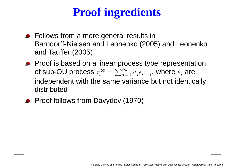# **Proof ingredients**

- **Follows from a more general results in**  Barndorff-Nielsen and Leonenko (2005) and Leonenkoand Tauffer (2005)
- **•** Proof is based on a linear process type representation of sup-OU process  $\tau_t^\infty$  independent with the same variance but not identically $t^{-}=$  $\sum$ ∞ $\sum\limits_{j=0}^{\infty}a_{j}\epsilon_{n-j},$  where  $\epsilon_{j}$  are distributed
- **•** Proof follows from Davydov (1970)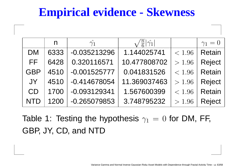# **Empirical evidence - Skewness**

|            | n    | $\hat{\gamma_1}$ | $\sqrt{\frac{n}{6}} \hat{\gamma_1} $ |        | $\gamma_1=0$  |
|------------|------|------------------|--------------------------------------|--------|---------------|
| <b>DM</b>  | 6333 | $-0.035213296$   | 1.144025741                          | < 1.96 | <b>Retain</b> |
| FF.        | 6428 | 0.320116571      | 10.477808702                         | > 1.96 | <b>Reject</b> |
| <b>GBP</b> | 4510 | $-0.001525777$   | 0.041831526                          | < 1.96 | <b>Retain</b> |
| JY         | 4510 | $-0.414678054$   | 11.369037463                         | > 1.96 | <b>Reject</b> |
| CD         | 1700 | $-0.093129341$   | 1.567600399                          | < 1.96 | <b>Retain</b> |
| <b>NTD</b> | 1200 | $-0.265079853$   | 3.748795232                          | > 1.96 | <b>Reject</b> |

Table 1: Testing the hypothesis  $\gamma_1$  $\gamma_1 = 0$  for DM, FF, GBP, JY, CD, and NTD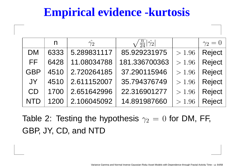# **Empirical evidence -kurtosis**

|            | n    | $\hat{\gamma_2}$ | $\sqrt{\frac{n}{24}} \hat{\gamma_2} $ |        | $\gamma_2=0$  |
|------------|------|------------------|---------------------------------------|--------|---------------|
| <b>DM</b>  | 6333 | 5.289831117      | 85.929231975                          | > 1.96 | <b>Reject</b> |
| FF.        | 6428 | 11.08034788      | 181.336700363                         | > 1.96 | Reject        |
| <b>GBP</b> | 4510 | 2.720264185      | 37.290115946                          | > 1.96 | <b>Reject</b> |
| JY         | 4510 | 2.611152007      | 35.794376749                          | > 1.96 | <b>Reject</b> |
| CD         | 1700 | 2.651642996      | 22.316901277                          | > 1.96 | <b>Reject</b> |
| <b>NTD</b> | 1200 | 2.106045092      | 14.891987660                          | > 1.96 | <b>Reject</b> |

Table 2: Testing the hypothesis  $\gamma_2$  $\epsilon_2 \, = \, 0$  for DM, FF, GBP, JY, CD, and NTD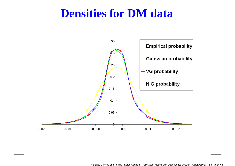#### **Densities for DM data**

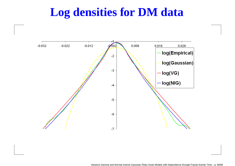## **Log densities for DM data**

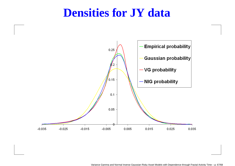#### **Densities for JY data**